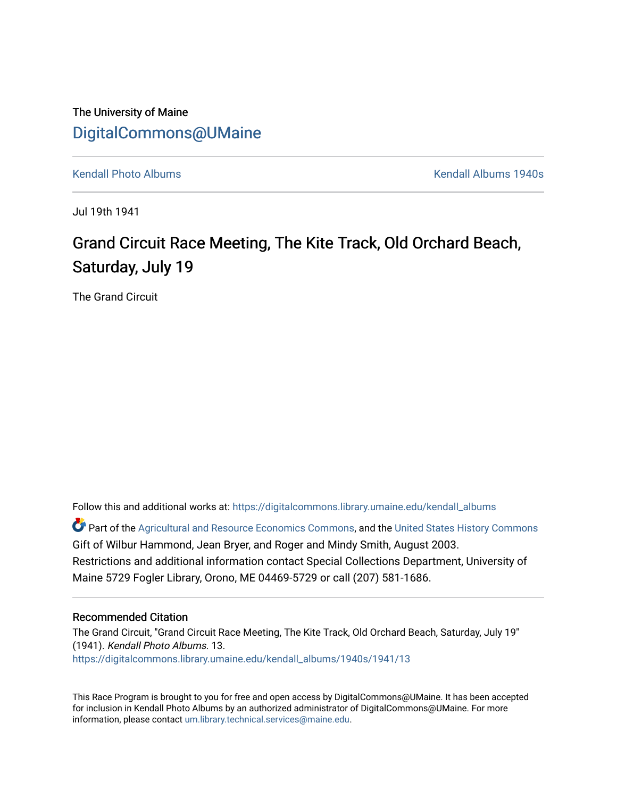The University of Maine [DigitalCommons@UMaine](https://digitalcommons.library.umaine.edu/)

[Kendall Photo Albums](https://digitalcommons.library.umaine.edu/kendall_albums) [Kendall Albums 1940s](https://digitalcommons.library.umaine.edu/kendall_albums/1940s) 

Jul 19th 1941

# Grand Circuit Race Meeting, The Kite Track, Old Orchard Beach, Saturday, July 19

The Grand Circuit

Follow this and additional works at: [https://digitalcommons.library.umaine.edu/kendall\\_albums](https://digitalcommons.library.umaine.edu/kendall_albums?utm_source=digitalcommons.library.umaine.edu%2Fkendall_albums%2F1940s%2F1941%2F13&utm_medium=PDF&utm_campaign=PDFCoverPages) 

**C** Part of the [Agricultural and Resource Economics Commons,](http://network.bepress.com/hgg/discipline/317?utm_source=digitalcommons.library.umaine.edu%2Fkendall_albums%2F1940s%2F1941%2F13&utm_medium=PDF&utm_campaign=PDFCoverPages) and the [United States History Commons](http://network.bepress.com/hgg/discipline/495?utm_source=digitalcommons.library.umaine.edu%2Fkendall_albums%2F1940s%2F1941%2F13&utm_medium=PDF&utm_campaign=PDFCoverPages) Gift of Wilbur Hammond, Jean Bryer, and Roger and Mindy Smith, August 2003. Restrictions and additional information contact Special Collections Department, University of Maine 5729 Fogler Library, Orono, ME 04469-5729 or call (207) 581-1686.

#### Recommended Citation

The Grand Circuit, "Grand Circuit Race Meeting, The Kite Track, Old Orchard Beach, Saturday, July 19" (1941). Kendall Photo Albums. 13. [https://digitalcommons.library.umaine.edu/kendall\\_albums/1940s/1941/13](https://digitalcommons.library.umaine.edu/kendall_albums/1940s/1941/13?utm_source=digitalcommons.library.umaine.edu%2Fkendall_albums%2F1940s%2F1941%2F13&utm_medium=PDF&utm_campaign=PDFCoverPages)

This Race Program is brought to you for free and open access by DigitalCommons@UMaine. It has been accepted for inclusion in Kendall Photo Albums by an authorized administrator of DigitalCommons@UMaine. For more information, please contact [um.library.technical.services@maine.edu](mailto:um.library.technical.services@maine.edu).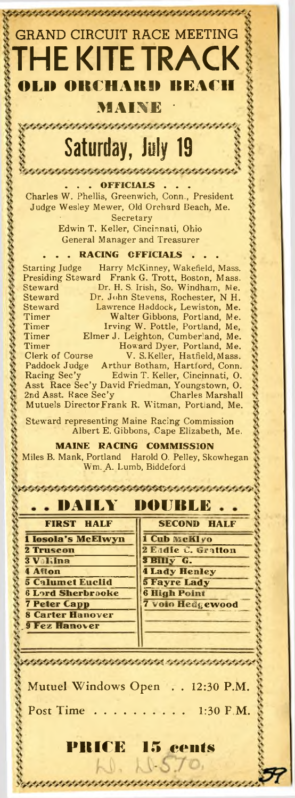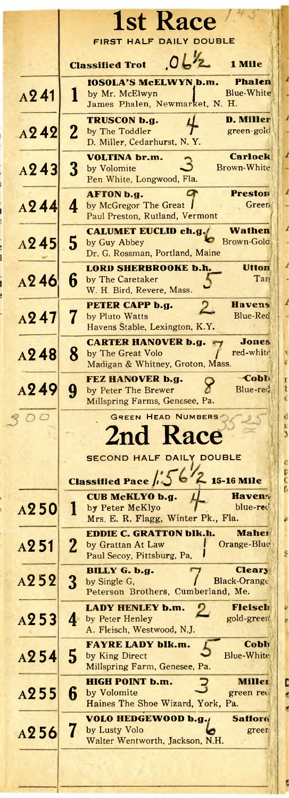|                  | <b>1st Race</b>                                                                                                          |
|------------------|--------------------------------------------------------------------------------------------------------------------------|
|                  | FIRST HALF DAILY DOUBLE<br>01 <sub>2</sub><br>1 Mile                                                                     |
|                  | <b>Classified Trot</b><br><b>Phalen</b>                                                                                  |
| A241             | <b>IOSOLA'S McELWYN b.m.</b><br>Blue-White<br>1<br>by Mr. McElwyn<br>James Phalen, Newmarket, N. H.                      |
| A242             | <b>D. Miller</b><br><b>TRUSCON b.g.</b><br>$\mathbf 2$<br>green-gold<br>by The Toddler<br>D. Miller, Cedarhurst, N.Y.    |
| A243             | <b>Carlock</b><br><b>VOLTINA</b> br.m.<br>3<br>Brown-White<br>by Volomite<br>Ben White, Longwood, Fla.                   |
| A244             | <b>Preston</b><br><b>AFTON b.g.</b><br>4<br>by McGregor The Great  <br>Green<br>Paul Preston, Rutland, Vermont           |
| A245             | <b>CALUMET EUCLID ch.g./</b><br>Wathen<br>5<br>Brown-Gold<br>by Guy Abbey<br>Dr. G. Rossman, Portland, Maine             |
| A246             | Utton<br><b>LORD SHERBROOKE b.h.</b><br>6<br>Tar<br>by The Caretaker<br>W. H. Bird, Revere, Mass.                        |
| A247             | <b>Havens</b><br>PETER CAPP b.g.<br>$\overline{2}$<br>7<br>Blue-Red<br>by Pluto Watts<br>Havens Stable, Lexington, K.Y.  |
| A248             | <b>Jones</b><br><b>CARTER HANOVER b.g.</b><br>8<br>red-white<br>by The Great Volo<br>Madigan & Whitney, Groton, Mass.    |
| A249             | <b>Cobb</b><br>FEZ HANOVER b.g.<br>9<br>Blue-red<br>by Peter The Brewer<br>Millspring Farms, Genesee, Pa.                |
| $\overline{O}$   | <b>GREEN HEAD NUMBERS</b><br>2nd Race<br><b>SECOND HALF DAILY DOUBLE</b>                                                 |
|                  | <b>Classified Pace / J</b><br>15-16 Mile                                                                                 |
| A <sub>250</sub> | CUB McKLYO b.g.<br><b>Havens</b><br>l<br>by Peter McKlyo<br>blue-red<br>Mrs. E. R. Flagg, Winter Pk., Fla.               |
| A251             | <b>EDDIE C. GRATTON blk.h.</b><br>Maher<br>$\mathbf 2$<br>Orange-Blug<br>by Grattan At Law<br>Paul Secoy, Pittsburg, Pa, |
| A252             | BILLY G. b.g.<br><b>Cleary</b><br>3<br>Black-Orange<br>by Single G.<br>Peterson Brothers, Cumberland, Me.                |
| A253             | Fleisch<br>LADY HENLEY b.m.<br>gold-green<br>4<br>by Peter Henley<br>A. Fleisch, Westwood, N.J.                          |
| A254             | Cobb<br>FAYRE LADY blk.m.<br>5<br>Blue-White<br>by King Direct<br>Millspring Farm, Genesee, Pa.                          |
| A255             | <b>HIGH POINT b.m.</b><br>Miller<br>6<br>by Volomite<br>green rec<br>Haines The Shoe Wizard, York, Pa.                   |
| A256             | VOLO HEDGEWOOD b.g.,<br><b>Safforo</b><br>7<br>by Lusty Volo<br>green<br>Walter Wentworth, Jackson, N.H.                 |
|                  |                                                                                                                          |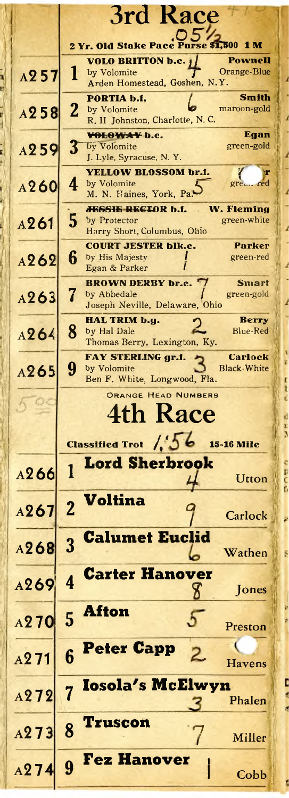|                   | 3rd Race                                                                                                             |
|-------------------|----------------------------------------------------------------------------------------------------------------------|
|                   | Purse \$1,500 1 M<br>2 Yr. Old Stake Pace                                                                            |
| A257              | <b>VOLO BRITTON b.c.</b> $\mathbf{j}$<br>Pownell<br>Orange-Blue<br>by Volomite<br>1<br>Arden Homestead, Goshen, N.Y. |
| A258              | <b>Smith</b><br>PORTIA b.f.<br>$\mathbf 2$<br>maroon-gold<br>by Volomite<br>R. H Johnston, Charlotte, N. C.          |
| A259              | VOLOWAY b.c.<br>Egan<br>$3^{-}$<br>green-gold<br>by Volomite<br>J. Lyle, Syracuse, N.Y.                              |
| A260              | <b>YELLOW BLOSSOM br.f.</b><br>by Volomite<br>green red<br>4<br>M. N. Haines, York, Pa.                              |
| A261              | <b>W. Fleming</b><br><b>JESSIE RECIOR b.f.</b><br>5<br>green-white<br>by Protector<br>Harry Short, Columbus, Ohio    |
| A262              | <b>COURT JESTER blk.c.</b><br>Parker<br>6<br>by His Majesty<br>green-red<br>Egan & Parker                            |
| A263              | <b>BROWN DERBY br.c.</b><br><b>Smart</b><br>by Abbedale<br>green-gold<br>Joseph Neville, Delaware, Ohio              |
| A264              | <b>Berry</b><br>HAL TRIM b.g.<br>8<br>by Hal Dale<br>Blue-Red<br>Thomas Berry, Lexington, Ky.                        |
| A265              | <b>Carlock</b><br>FAY STERLING gr.f.<br>9<br><b>Black-White</b><br>by Volomite<br>Ben F. White, Longwood, Fla.       |
|                   | ORANGE HEAD NUMBERS<br>4th Race                                                                                      |
|                   | Classified Trot /36<br><b>15-16 Mile</b>                                                                             |
| A266              | <b>Lord Sherbrook</b><br>1<br>Utton                                                                                  |
| A267              | Voltina<br>$\overline{2}$<br>Carlock                                                                                 |
| A268              | <b>Calumet Euclid</b><br>3<br>Wathen                                                                                 |
| A269              | <b>Carter Hanover</b><br>$\overline{\mathbf{4}}$<br>Jones<br>Х                                                       |
| A <sub>2</sub> 70 | <b>Afton</b><br>5<br>ö<br>Preston                                                                                    |
| A <sub>2</sub> 71 | <b>Peter Capp</b><br>6<br><b>Havens</b>                                                                              |
| A272              | <b>Iosola's McElwyn</b><br>$\overline{7}$<br>Phalen                                                                  |
| A273              | Truscon<br>8<br>Miller                                                                                               |
|                   | <b>Fez Hanover</b>                                                                                                   |

į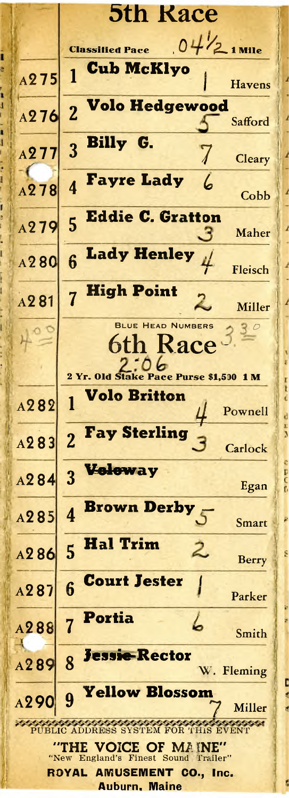**5th Race**  $04\frac{1}{2}$  1 Mile **Classified Pace** ï **Cub McKlvo** 1  $A275$ **Havens Volo Hedgewood**  $\overline{2}$ A276 l Safford Billy G. 3 A277 7 Cleary  $-1$ **Favre Lady** ሬ  $\boldsymbol{\Lambda}$ A<sub>278</sub> l Cobb **Eddie C. Gratton** 5  $A979$ Maher **Lady Henley**  $6$  $A280$ Fleisch **High Point**  $\overline{7}$  $A281$ Miller **BLUE HEAD NUMBERS** 6th Race 2 Yr. Old Stake Pace Purse \$1,500 1 M Volo Britton 1 A282 Pownell d  $\frac{1}{3}$ **Fay Sterling**  $\overline{2}$  $A$  283 Carlock Voloway 3  $A284$ Egan **Brown Derby**  $\boldsymbol{A}$  $A285$ Smart **Hal Trim** 5 2. A<sub>286</sub> š Berry **Court Jester** 6 A287 Parker Portia 7 A<sub>288</sub> Smith **Jessie-Rector** 8 A<sub>2</sub>89 W. Fleming Ē Yellow Blossom 9 A290 Miller PUBLIC ADDRESS SYSTEM FOR THIS EVENT "THE VOICE OF MAINE" "New England's Finest Sound Trailer" **AMUSEMENT CO., Inc.** ROYAL ć **Auburn, Maine**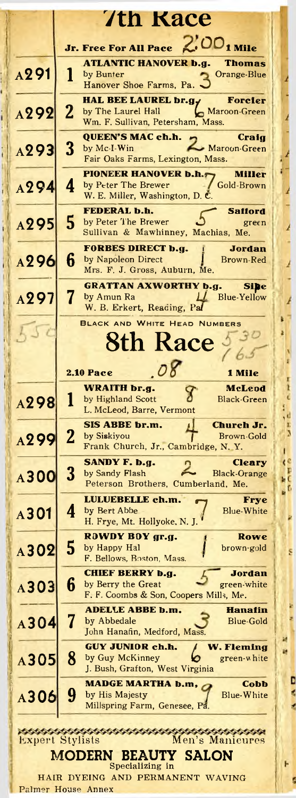|                  | 7th Race                                                                                                                                  |
|------------------|-------------------------------------------------------------------------------------------------------------------------------------------|
|                  | 2.00 <sub>1 Mile</sub><br><b>Jr. Free For All Pace</b>                                                                                    |
| A <sub>291</sub> | <b>ATLANTIC HANOVER b.g.</b><br>Thomas<br>1<br>by Bunter<br>Orange-Blue<br>Hanover Shoe Farms, Pa.                                        |
| A292             | <b>HAL BEE LAUREL br.gy</b><br>Forcier<br>$\mathbf{2}$<br>Maroon-Green<br>by The Laurel Hall<br>Wm. F. Sullivan, Petersham, Mass.         |
| A293             | <b>QUEEN'S MAC ch.h.</b><br>Craig<br>$\overline{\mathbf{3}}$<br>by $Mc-I-Win$<br><b>Maroon-Green</b><br>Fair Oaks Farms, Lexington, Mass. |
| A294             | <b>PIONEER HANOVER b.h.r</b><br>Miller<br>Gold-Brown<br>4<br>by Peter The Brewer<br>W. E. Miller, Washington, D. C.                       |
| A295             | <b>FEDERAL b.h.</b><br>Safford<br>5<br>by Peter The Brewer<br>green<br>Sullivan & Mawhinney, Machias, Me.                                 |
| A296             | <b>FORBES DIRECT b.g.</b><br>Jordan<br>6<br>by Napoleon Direct<br>Brown-Red<br>Mrs. F. J. Gross, Auburn, Me.                              |
| A297             | <b>GRATTAN AXWORTHY b.g.</b><br>Sibe<br>7<br>by Amun Ra<br><b>Blue-Yellow</b><br>W. B. Erkert, Reading, Pal                               |
|                  | <b>BLACK AND WHITE HEAD NUMBERS</b><br><b>8th Race</b>                                                                                    |
|                  | $\overline{OQ}$<br><b>2.10 Pace</b><br>1 Mile                                                                                             |
| A298             | WRAITH br.g.<br>McLeod<br>1<br>by Highland Scott<br>Black Green<br>L. McLeod, Barre, Vermont                                              |
| A299             | <b>SIS ABBE br.m.</b><br>Church Jr.<br>$\mathbf{2}$<br>by Siskiyou<br>Brown-Gold<br>Frank Church, Jr., Cambridge, N.Y.                    |
| A300             | SANDY F. b.g.<br>Cleary<br>3<br>by Sandy Flash<br><b>Black Orange</b><br>Peterson Brothers, Cumberland, Me.                               |
| A301             | LULUEBELLE ch.m.<br><b>Frye</b><br>4<br>by Bert Abbe<br><b>Blue-White</b><br>H. Frye, Mt. Hollyoke, N. J.                                 |
| A302             | ROWDY BOY gr.g.<br>Rowe<br>5<br>by Happy Hal<br>brown-gold<br>F. Bellows, Boston, Mass.                                                   |
| A303             | <b>CHIEF BERRY b.g.</b><br><b>Jordan</b><br>6<br>by Berry the Great<br>green-white<br>F. F. Coombs & Son, Coopers Mills, Me.              |
| A304             | <b>ADELLE ABBE b.m.</b><br><b>Hanafin</b><br>7<br>by Abbedale<br><b>Blue-Gold</b><br>John Hanafin, Medford, Mass.                         |
| A305             | GUY JUNIOR ch.h.<br><b>W. Fleming</b><br>8<br>by Guy McKinney<br>green-white<br>J. Bush, Grafton, West Virginia                           |
| A306             | <b>MADGE MARTHA b.m,</b><br>Cobb<br>9<br>Blue-White<br>by His Majesty<br>Millspring Farm, Genesee, Pa.                                    |
|                  | 100000000000000000000000<br>,,,,,,,,,,,,,,,,<br><b>Expert Stylists</b><br>Men's Manicures<br><b>MODERN</b><br><b>BEAUTY SALON</b>         |
|                  | Specializing in                                                                                                                           |

**ALLACES** 网络

A A D

 $\frac{1}{2}$ 

i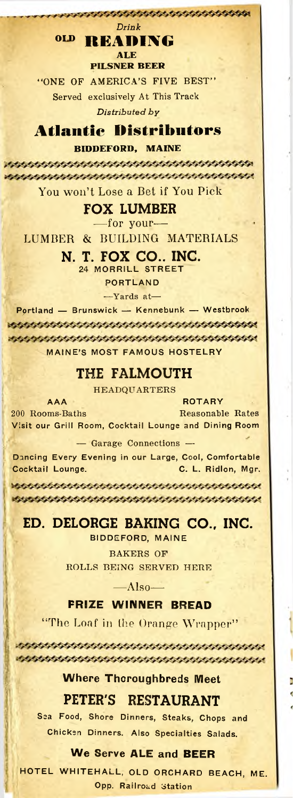#### *Drink* **OL<sup>D</sup> READING**

**ALE**

**PILSNER BEER**

\*\*\*\*\*\*\*\*\*\*\*\*\*\*\*\*\*\*\*\*\*\*\*\*\*\*\*\*\*

"ONE OF AMERICA'S FIVE BEST" Served exclusively At This Track *Distributed by*

# **Atlantic Distributors**

**BIDDEFORD, MAINE**

You won't Lose a Bet if You Pick

### **FOX LUMBER**

—for your—

LUMBER & BUILDING MATERIALS

#### **N. T. FOX CO., INC.**

24 MORRILL STREET

PORTLAND

—Yards at—

Portland — Brunswick — Kennebunk — Westbrook MAINE'<sup>S</sup> MOST FAMOUS HOSTELRY

## **THE FALMOUTH**

HEADQUARTERS

AAA ROTARY 200 Rooms-Baths Reasonable Rates Visit our Grill Room, Cocktail Lounge and Dining Room

— Garage Connections —

Dancing Every Evening in our Large, Cool, Comfortable Cocktail Lounge. C. L. Ridlon, Mgr.

# **ED. DELORGE BAKING CO., INC.**

BIDDEFORD, MAINE

BAKERS OF ROLLS BEING SERVED HERE

 $-Mlso-$ 

#### **PRIZE WINNER BREAD**

"The Loaf in the Orange Wrapper"

\*\*\*\*\*\*\*\*\*\*\*\*\*\*\*\*\*\*\*\*\*\*\*\*\*\*\*\*\*\*\*\*\*\*\*\*\*\*

\*\*\*\*\*\*\*\*\*\*\*\*\*\*\*\*\*\*\*\*\*\*\*\*\*\*\*\*\*\*\*\*\*\*\*\*\*

**Where Thoroughbreds Meet**

### **PETER'S RESTAURANT**

Sea Food, Shore Dinners, Steaks, Chops and Chicken Dinners. Also Specialties Salads.

#### **We Serve ALE and BEER**

HOTEL WHITEHALL, OLD ORCHARD BEACH, ME. Opp. Railroad Station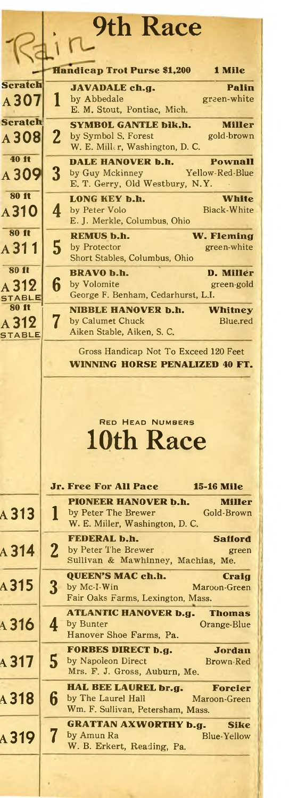|                               |                | <b>9th Race</b>                                                                |
|-------------------------------|----------------|--------------------------------------------------------------------------------|
|                               |                |                                                                                |
|                               |                | <b>Handicap Trot Purse \$1,200</b><br>1 Mile                                   |
| Scratch                       |                | <b>JAVADALE ch.g.</b><br>Palin                                                 |
| A 307                         | l              | by Abbedale<br>green-white<br>E. M. Stout, Pontiac, Mich.                      |
| <b>Seratch</b>                |                | <b>SYMBOL GANTLE blk.h.</b><br><b>Miller</b>                                   |
| A <sub>308</sub>              | 2              | by Symbol S. Forest<br>gold-brown<br>W. E. Miller, Washington, D. C.           |
| 40 ft                         | 3              | DALE HANOVER b.h.<br><b>Pownall</b><br>Yellow-Red-Blue<br>by Guy Mckinney      |
| A 309                         |                | E. T. Gerry, Old Westbury, N.Y.                                                |
| <b>80 ft</b>                  |                | LONG KEY b.h.<br>White                                                         |
| A310                          | 4              | <b>Black-White</b><br>by Peter Volo<br>E. J. Merkle, Columbus, Ohio            |
| <b>80 ft</b>                  |                | <b>REMUS b.h.</b><br>W. Fleming                                                |
| A 31 1                        | 5              | by Protector<br>green-white<br>Short Stables, Columbus, Ohio                   |
| 80 ft                         |                | <b>BRAVO b.h.</b><br>D. Miller                                                 |
| A 312                         | 6              | by Volomite<br>green-gold<br>George F. Benham, Cedarhurst, L.I.                |
| <b>STABLE</b><br><b>80 ft</b> |                | <b>NIBBLE HANOVER b.h.</b><br>Whitney                                          |
| A 312                         | 7              | by Calumet Chuck<br>Blue.red                                                   |
| <b>STABLE</b>                 |                | Aiken Stable, Aiken, S. C.                                                     |
|                               |                | Gross Handicap Not To Exceed 120 Feet<br><b>WINNING HORSE PENALIZED 40 FT.</b> |
|                               |                |                                                                                |
|                               |                |                                                                                |
|                               |                |                                                                                |
|                               |                | <b>RED HEAD NUMBERS</b>                                                        |
|                               |                | 10th Race                                                                      |
|                               |                |                                                                                |
|                               |                | Jr. Free For All Pace<br><b>15-16 Mile</b>                                     |
|                               |                | <b>PIONEER HANOVER b.h.</b><br>Miller                                          |
| A 313                         | l              | by Peter The Brewer<br>Gold-Brown                                              |
|                               |                | W. E. Miller, Washington, D. C.<br>FEDERAL b.h.<br><b>Safford</b>              |
| $A$ 314                       | $\overline{2}$ | by Peter The Brewer<br>green                                                   |
|                               |                | Sullivan & Mawhinney, Machias, Me.                                             |
| A 315                         | $\bf{3}$       | <b>QUEEN'S MAC ch.h.</b><br>Craig<br>by Mc-I-Win<br>Maroon-Green               |
|                               |                | Fair Oaks Farms, Lexington, Mass.                                              |
| A 316                         | 4              | <b>ATLANTIC HANOVER b.g.</b><br><b>Thomas</b><br>by Bunter<br>Orange-Blue      |
|                               |                | Hanover Shoe Farms, Pa.                                                        |
|                               |                | <b>FORBES DIRECT b.g.</b><br>Jordan                                            |
| $A$ 317                       | 5              | by Napoleon Direct<br>Brown-Red<br>Mrs. F. J. Gross, Auburn, Me.               |
|                               |                | HAL BEE LAUREL br.g.<br>Forcier                                                |
| A 318                         | 6              | by The Laurel Hall<br>Maroon-Green<br>Wm. F. Sullivan, Petersham, Mass.        |
|                               |                | <b>GRATTAN AXWORTHY b.g.</b><br>Sike                                           |
| <b>A319</b>                   |                | by Amun Ra<br><b>Blue-Yellow</b><br>W. B. Erkert, Reading, Pa.                 |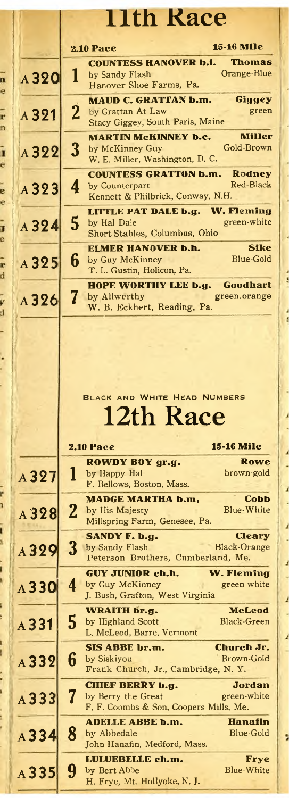|        |         | <b>11th Race</b>                                                                                                             |
|--------|---------|------------------------------------------------------------------------------------------------------------------------------|
|        |         | <b>15-16 Mile</b><br><b>2.10 Pace</b>                                                                                        |
| n      | A 320   | <b>COUNTESS HANOVER b.f.</b><br><b>Thomas</b><br>Orange-Blue<br>1<br>by Sandy Flash<br>Hanover Shoe Farms, Pa.               |
| e<br>r | A321    | <b>MAUD C. GRATTAN b.m.</b><br>Giggey<br>2<br>by Grattan At Law<br>green<br>Stacy Giggey, South Paris, Maine                 |
| n<br>1 | A322    | <b>MARTIN MCKINNEY b.c.</b><br><b>Miller</b><br>$\bf{3}$<br>Gold-Brown<br>by McKinney Guy<br>W. E. Miller, Washington, D. C. |
| ė<br>e | A323    | <b>COUNTESS GRATTON b.m.</b><br>Rodney<br>Red-Black<br>4<br>by Counterpart<br>Kennett & Philbrick, Conway, N.H.              |
| ē<br>j | A324    | LITTLE PAT DALE b.g. W. Fleming<br>5<br>green-white<br>by Hal Dale<br>Short Stables, Columbus, Ohio                          |
| e<br>r | A325    | <b>Sike</b><br>ELMER HANOVER b.h.<br><b>Blue-Gold</b><br>6<br>by Guy McKinney<br>T. L. Gustin, Holicon, Pa.                  |
| d<br>y | A326    | Goodhart<br>HOPE WORTHY LEE b.g.<br>7<br>by Allworthy<br>green.orange<br>W. B. Eckhert, Reading, Pa.                         |
| đ<br>÷ |         |                                                                                                                              |
|        |         |                                                                                                                              |
|        |         |                                                                                                                              |
|        |         |                                                                                                                              |
|        |         | <b>BLACK AND WHITE HEAD NUMBERS</b>                                                                                          |
|        |         |                                                                                                                              |
|        |         | 12th Race                                                                                                                    |
|        |         | <b>15-16 Mile</b><br><b>2.10 Pace</b>                                                                                        |
|        | A327    | ROWDY BOY gr.g.<br>Rowe<br>brown-gold<br>I<br>by Happy Hal<br>F. Bellows, Boston, Mass.                                      |
| d<br>ī | A 328   | <b>MADGE MARTHA b.m,</b><br>Copp<br>$\mathbf{2}$<br>Blue-White<br>by His Majesty<br>Millspring Farm, Genesee, Pa.            |
| ī      | A329    | SANDY F. b.g.<br>Cleary<br>3<br><b>Black-Orange</b><br>by Sandy Flash<br>Peterson Brothers, Cumberland, Me.                  |
|        | A330    | <b>W. Fleming</b><br><b>GUY JUNIOR ch.h.</b><br>4<br>by Guy McKinney<br>green-white<br>J. Bush, Grafton, West Virginia       |
|        | $A$ 331 | <b>McLeod</b><br>WRAITH br.g.<br>5<br><b>Black-Green</b><br>by Highland Scott<br>L. McLeod, Barre, Vermont                   |
|        | A332    | <b>SIS ABBE br.m.</b><br>Church Jr.<br>6<br><b>Brown-Gold</b><br>by Siskiyou<br>Frank Church, Jr., Cambridge, N.Y.           |
|        | A333    | <b>CHIEF BERRY b.g.</b><br>Jordan<br>7<br>by Berry the Great<br>green-white<br>F. F. Coombs & Son, Coopers Mills, Me.        |
|        | A334    | <b>ADELLE ABBE b.m.</b><br><b>Hanafin</b><br>8<br>Blue-Gold<br>by Abbedale<br>John Hanafin, Medford, Mass.                   |

ľ

l

 $\ddot{\phantom{0}}$ 

ı

**START &** 

**Holla** 

í

 $\frac{1}{1}$ 

 $\overline{1}$ 

 $\overline{1}$ 

 $\overline{1}$ l,

 $\frac{1}{1}$ 

 $\overline{1}$ 

 $\frac{1}{1}$ 

,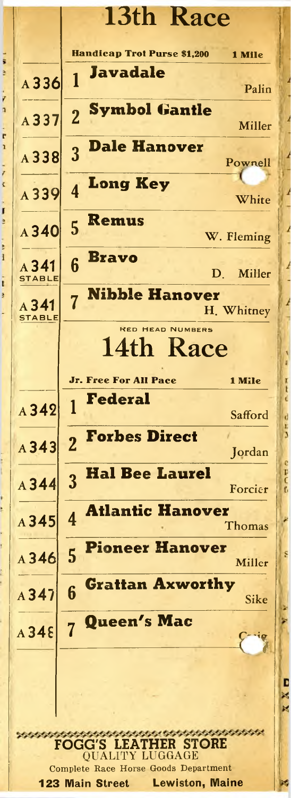